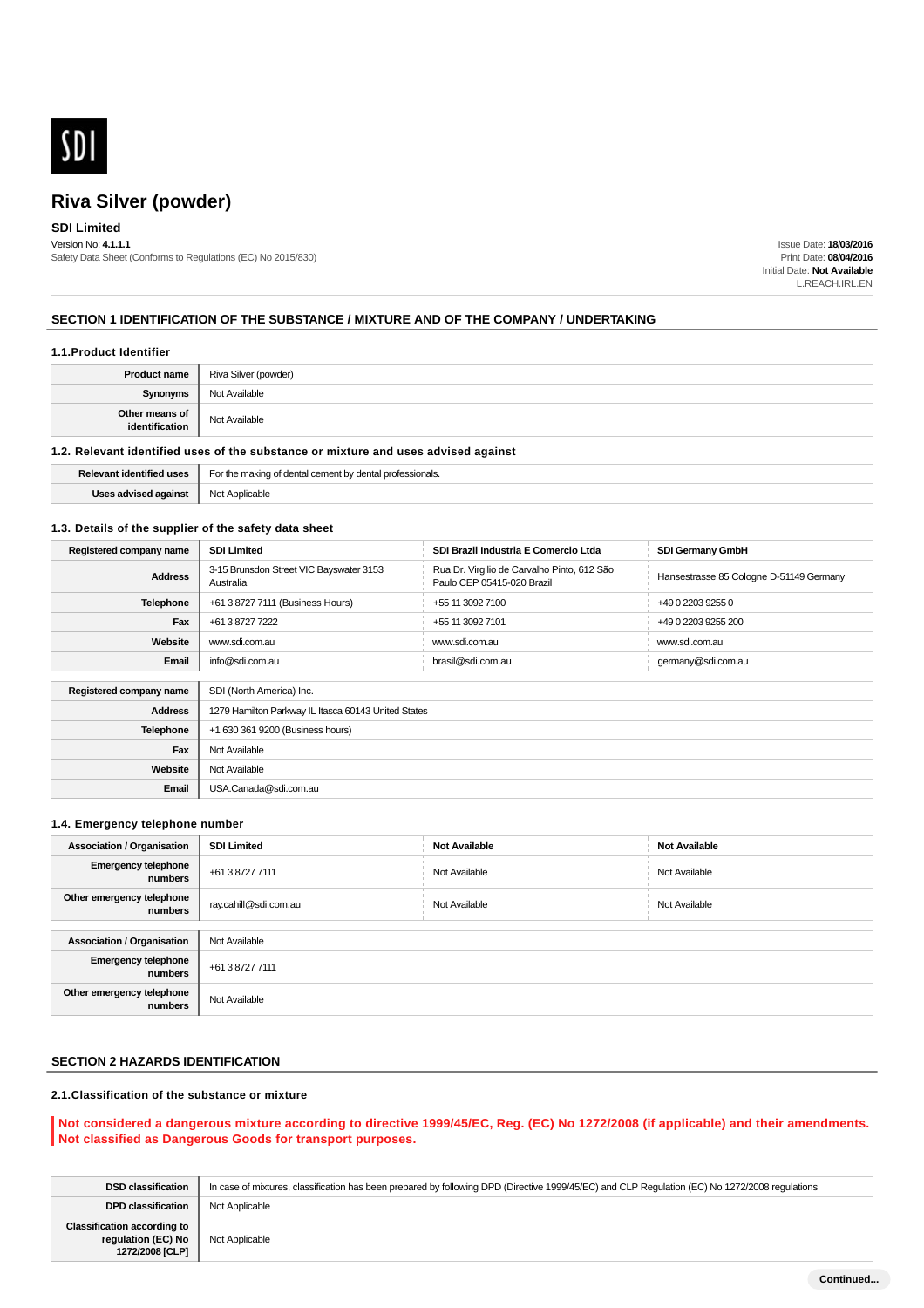

## **SDI Limited**

Version No: **4.1.1.1** Safety Data Sheet (Conforms to Regulations (EC) No 2015/830)

Issue Date: **18/03/2016** Print Date: **08/04/2016** Initial Date: **Not Available** L.REACH.IRL.EN

### **SECTION 1 IDENTIFICATION OF THE SUBSTANCE / MIXTURE AND OF THE COMPANY / UNDERTAKING**

#### **1.1.Product Identifier**

| <b>Product name</b>              | Riva Silver (powder) |
|----------------------------------|----------------------|
| <b>Synonyms</b>                  | Not Available        |
| Other means of<br>identification | Not Available        |
|                                  |                      |

### **1.2. Relevant identified uses of the substance or mixture and uses advised against**

| <b>USes</b><br>.      | For the making<br>professionals.<br>rement<br>∵hv dental i |
|-----------------------|------------------------------------------------------------|
| $\sim$<br>a dudii ist | olicable.<br>$N \wedge T$<br>ง∪เ                           |

#### **1.3. Details of the supplier of the safety data sheet**

| Registered company name | <b>SDI Limited</b>                                   | SDI Brazil Industria E Comercio Ltda                                      | <b>SDI Germany GmbH</b>                 |
|-------------------------|------------------------------------------------------|---------------------------------------------------------------------------|-----------------------------------------|
| <b>Address</b>          | 3-15 Brunsdon Street VIC Bayswater 3153<br>Australia | Rua Dr. Virgilio de Carvalho Pinto, 612 São<br>Paulo CEP 05415-020 Brazil | Hansestrasse 85 Cologne D-51149 Germany |
| <b>Telephone</b>        | +61 3 8727 7111 (Business Hours)                     | +55 11 3092 7100                                                          | +49 0 2203 9255 0                       |
| Fax                     | +61 3 8727 7222                                      | +55 11 3092 7101                                                          | +49 0 2203 9255 200                     |
| Website                 | www.sdi.com.au                                       | www.sdi.com.au                                                            | www.sdi.com.au                          |
| Email                   | info@sdi.com.au                                      | brasil@sdi.com.au                                                         | germany@sdi.com.au                      |
|                         |                                                      |                                                                           |                                         |
| Registered company name | SDI (North America) Inc.                             |                                                                           |                                         |
| <b>Address</b>          | 1279 Hamilton Parkway IL Itasca 60143 United States  |                                                                           |                                         |
| Telephone               | +1 630 361 9200 (Business hours)                     |                                                                           |                                         |
| Fax                     | Not Available                                        |                                                                           |                                         |
| Website                 | Not Available                                        |                                                                           |                                         |
| Email                   | USA.Canada@sdi.com.au                                |                                                                           |                                         |

#### **1.4. Emergency telephone number**

| <b>Association / Organisation</b>     | <b>SDI Limited</b>    | <b>Not Available</b> | <b>Not Available</b> |
|---------------------------------------|-----------------------|----------------------|----------------------|
| <b>Emergency telephone</b><br>numbers | +61 3 8727 7111       | Not Available        | Not Available        |
| Other emergency telephone<br>numbers  | ray.cahill@sdi.com.au | Not Available        | Not Available        |
|                                       |                       |                      |                      |
| <b>Association / Organisation</b>     | Not Available         |                      |                      |
| <b>Emergency telephone</b><br>numbers | +61 3 8727 7111       |                      |                      |
| Other emergency telephone<br>numbers  | Not Available         |                      |                      |

## **SECTION 2 HAZARDS IDENTIFICATION**

### **2.1.Classification of the substance or mixture**

#### **Not considered a dangerous mixture according to directive 1999/45/EC, Reg. (EC) No 1272/2008 (if applicable) and their amendments. Not classified as Dangerous Goods for transport purposes.**

| <b>DSD classification</b>                                                   | In case of mixtures, classification has been prepared by following DPD (Directive 1999/45/EC) and CLP Regulation (EC) No 1272/2008 regulations |
|-----------------------------------------------------------------------------|------------------------------------------------------------------------------------------------------------------------------------------------|
| <b>DPD classification</b>                                                   | Not Applicable                                                                                                                                 |
| <b>Classification according to</b><br>regulation (EC) No<br>1272/2008 [CLP] | Not Applicable                                                                                                                                 |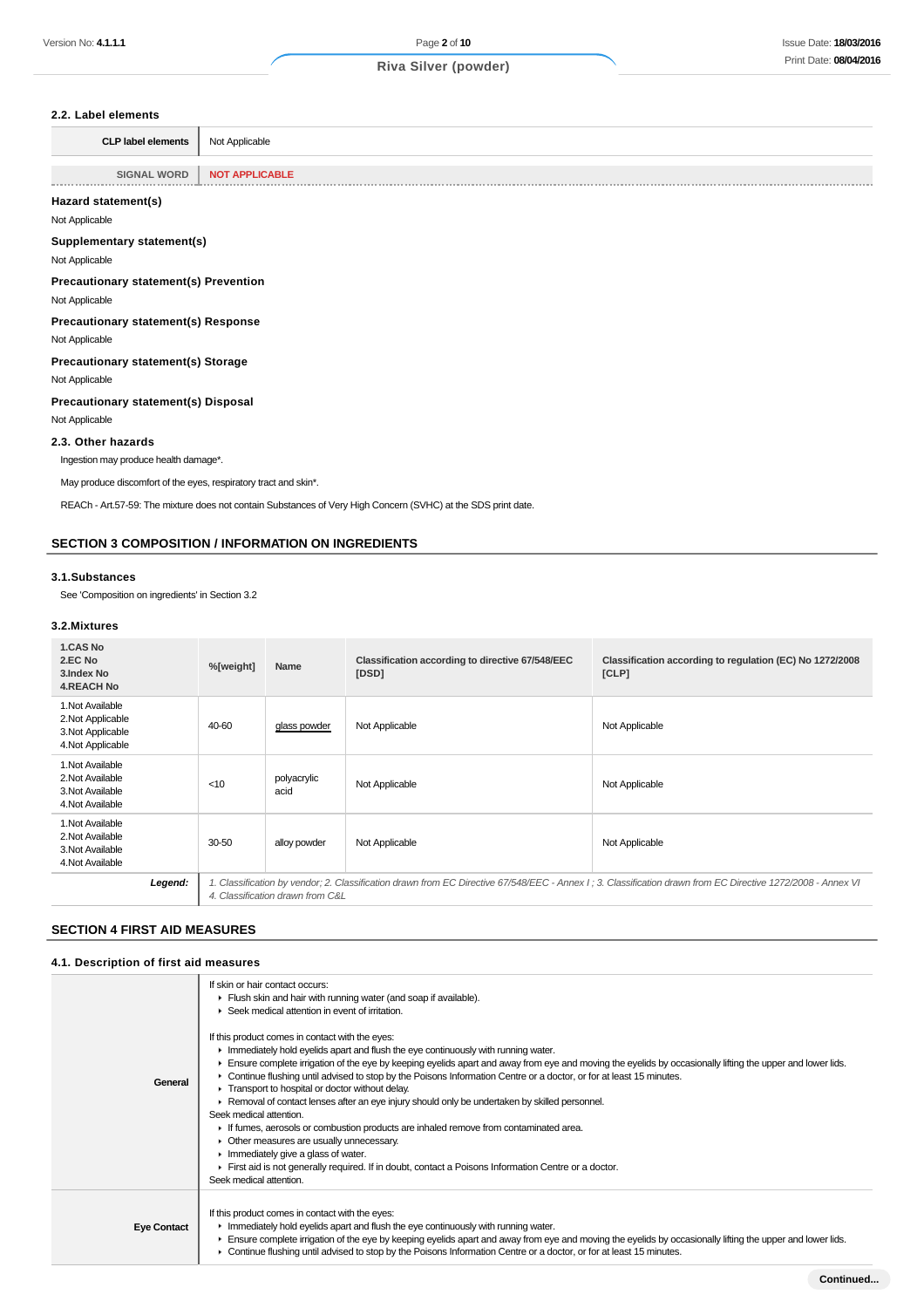#### **2.2. Label elements**

| <b>CLP label elements</b> | Not Applicable<br>$\sim$<br>the contract of the contract of |
|---------------------------|-------------------------------------------------------------|
|---------------------------|-------------------------------------------------------------|

**SIGNAL WORD NOT APPLICABLE Hazard statement(s)** Not Applicable **Supplementary statement(s)** Not Applicable **Precautionary statement(s) Prevention** Not Applicable **Precautionary statement(s) Response** Not Applicable **Precautionary statement(s) Storage** Not Applicable **Precautionary statement(s) Disposal** Not Applicable **2.3. Other hazards** Ingestion may produce health damage\*. May produce discomfort of the eyes, respiratory tract and skin\*. REACh - Art.57-59: The mixture does not contain Substances of Very High Concern (SVHC) at the SDS print date.

#### **SECTION 3 COMPOSITION / INFORMATION ON INGREDIENTS**

#### **3.1.Substances**

See 'Composition on ingredients' in Section 3.2

#### **3.2.Mixtures**

| <b>1.CAS No</b><br>2.EC No<br>3. Index No<br><b>4.REACH No</b>                  | %[weight]                                                                                                                                                                                        | Name                | Classification according to directive 67/548/EEC<br>[DSD] | Classification according to regulation (EC) No 1272/2008<br>[CLP] |
|---------------------------------------------------------------------------------|--------------------------------------------------------------------------------------------------------------------------------------------------------------------------------------------------|---------------------|-----------------------------------------------------------|-------------------------------------------------------------------|
| 1. Not Available<br>2. Not Applicable<br>3. Not Applicable<br>4. Not Applicable | 40-60                                                                                                                                                                                            | glass powder        | Not Applicable                                            | Not Applicable                                                    |
| 1. Not Available<br>2. Not Available<br>3. Not Available<br>4. Not Available    | $<$ 10                                                                                                                                                                                           | polyacrylic<br>acid | Not Applicable                                            | Not Applicable                                                    |
| 1. Not Available<br>2. Not Available<br>3. Not Available<br>4. Not Available    | 30-50                                                                                                                                                                                            | alloy powder        | Not Applicable                                            | Not Applicable                                                    |
| Legend:                                                                         | 1. Classification by vendor; 2. Classification drawn from EC Directive 67/548/EEC - Annex I ; 3. Classification drawn from EC Directive 1272/2008 - Annex VI<br>4. Classification drawn from C&L |                     |                                                           |                                                                   |

### **SECTION 4 FIRST AID MEASURES**

#### **4.1. Description of first aid measures**

| General            | If skin or hair contact occurs:<br>Flush skin and hair with running water (and soap if available).<br>▶ Seek medical attention in event of irritation.                                                                                                                                                                                                                                                                                                                                                                                                                                                       |
|--------------------|--------------------------------------------------------------------------------------------------------------------------------------------------------------------------------------------------------------------------------------------------------------------------------------------------------------------------------------------------------------------------------------------------------------------------------------------------------------------------------------------------------------------------------------------------------------------------------------------------------------|
|                    | If this product comes in contact with the eyes:<br>In Immediately hold eyelids apart and flush the eye continuously with running water.<br>Ensure complete irrigation of the eye by keeping eyelids apart and away from eye and moving the eyelids by occasionally lifting the upper and lower lids.<br>► Continue flushing until advised to stop by the Poisons Information Centre or a doctor, or for at least 15 minutes.<br>Transport to hospital or doctor without delay.<br>► Removal of contact lenses after an eye injury should only be undertaken by skilled personnel.<br>Seek medical attention. |
|                    | If fumes, aerosols or combustion products are inhaled remove from contaminated area.<br>Other measures are usually unnecessary.<br>$\blacktriangleright$ Immediately give a glass of water.<br>First aid is not generally required. If in doubt, contact a Poisons Information Centre or a doctor.<br>Seek medical attention.                                                                                                                                                                                                                                                                                |
| <b>Eye Contact</b> | If this product comes in contact with the eyes:<br>$\blacktriangleright$ Immediately hold eyelids apart and flush the eye continuously with running water.<br>Ensure complete irrigation of the eye by keeping eyelids apart and away from eye and moving the eyelids by occasionally lifting the upper and lower lids.<br>Continue flushing until advised to stop by the Poisons Information Centre or a doctor, or for at least 15 minutes.                                                                                                                                                                |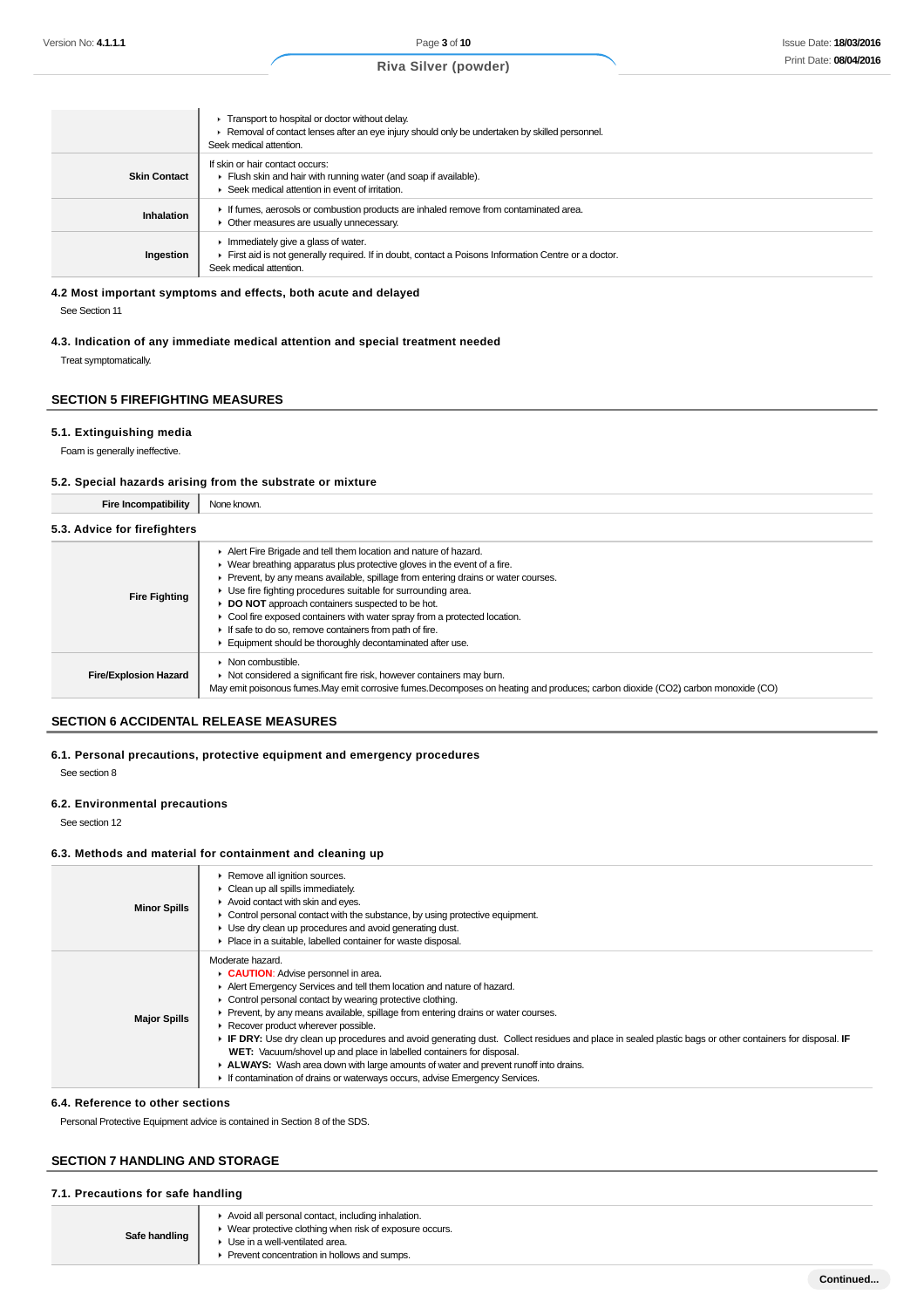|                     | Transport to hospital or doctor without delay.<br>► Removal of contact lenses after an eye injury should only be undertaken by skilled personnel.<br>Seek medical attention. |
|---------------------|------------------------------------------------------------------------------------------------------------------------------------------------------------------------------|
| <b>Skin Contact</b> | If skin or hair contact occurs:<br>Fiush skin and hair with running water (and soap if available).<br>Seek medical attention in event of irritation.                         |
| Inhalation          | If fumes, aerosols or combustion products are inhaled remove from contaminated area.<br>• Other measures are usually unnecessary.                                            |
| Ingestion           | Immediately give a glass of water.<br>First aid is not generally required. If in doubt, contact a Poisons Information Centre or a doctor.<br>Seek medical attention.         |

#### **4.2 Most important symptoms and effects, both acute and delayed**

See Section 11

### **4.3. Indication of any immediate medical attention and special treatment needed**

Treat symptomatically.

## **SECTION 5 FIREFIGHTING MEASURES**

## **5.1. Extinguishing media**

Foam is generally ineffective.

### **5.2. Special hazards arising from the substrate or mixture**

| Fire Incompatibility         | None known.                                                                                                                                                                                                                                                                                                                                                                                                                                                                                                                                          |
|------------------------------|------------------------------------------------------------------------------------------------------------------------------------------------------------------------------------------------------------------------------------------------------------------------------------------------------------------------------------------------------------------------------------------------------------------------------------------------------------------------------------------------------------------------------------------------------|
| 5.3. Advice for firefighters |                                                                                                                                                                                                                                                                                                                                                                                                                                                                                                                                                      |
| <b>Fire Fighting</b>         | Alert Fire Brigade and tell them location and nature of hazard.<br>▶ Wear breathing apparatus plus protective gloves in the event of a fire.<br>Prevent, by any means available, spillage from entering drains or water courses.<br>Use fire fighting procedures suitable for surrounding area.<br>DO NOT approach containers suspected to be hot.<br>Cool fire exposed containers with water spray from a protected location.<br>If safe to do so, remove containers from path of fire.<br>Equipment should be thoroughly decontaminated after use. |
| <b>Fire/Explosion Hazard</b> | Non combustible.<br>• Not considered a significant fire risk, however containers may burn.<br>May emit poisonous fumes. May emit corrosive fumes. Decomposes on heating and produces; carbon dioxide (CO2) carbon monoxide (CO)                                                                                                                                                                                                                                                                                                                      |

## **SECTION 6 ACCIDENTAL RELEASE MEASURES**

### **6.1. Personal precautions, protective equipment and emergency procedures**

See section 8

#### **6.2. Environmental precautions**

See section 12

#### **6.3. Methods and material for containment and cleaning up**

| <b>Minor Spills</b> | Remove all ignition sources.<br>• Clean up all spills immediately.<br>Avoid contact with skin and eyes.<br>$\blacktriangleright$ Control personal contact with the substance, by using protective equipment.<br>► Use dry clean up procedures and avoid generating dust.<br>Place in a suitable, labelled container for waste disposal.                                                                                                                                                                                                                                                                                                                                                                                         |
|---------------------|---------------------------------------------------------------------------------------------------------------------------------------------------------------------------------------------------------------------------------------------------------------------------------------------------------------------------------------------------------------------------------------------------------------------------------------------------------------------------------------------------------------------------------------------------------------------------------------------------------------------------------------------------------------------------------------------------------------------------------|
| <b>Major Spills</b> | Moderate hazard.<br>CAUTION: Advise personnel in area.<br>Alert Emergency Services and tell them location and nature of hazard.<br>• Control personal contact by wearing protective clothing.<br>• Prevent, by any means available, spillage from entering drains or water courses.<br>Recover product wherever possible.<br>FIF DRY: Use dry clean up procedures and avoid generating dust. Collect residues and place in sealed plastic bags or other containers for disposal. IF<br>WET: Vacuum/shovel up and place in labelled containers for disposal.<br>ALWAYS: Wash area down with large amounts of water and prevent runoff into drains.<br>If contamination of drains or waterways occurs, advise Emergency Services. |

#### **6.4. Reference to other sections**

Personal Protective Equipment advice is contained in Section 8 of the SDS.

#### **SECTION 7 HANDLING AND STORAGE**

#### **7.1. Precautions for safe handling**

T

- ve clothing when risk of exposure occurs.
- ventilated area.
- Prevent concentration in hollows and sumps.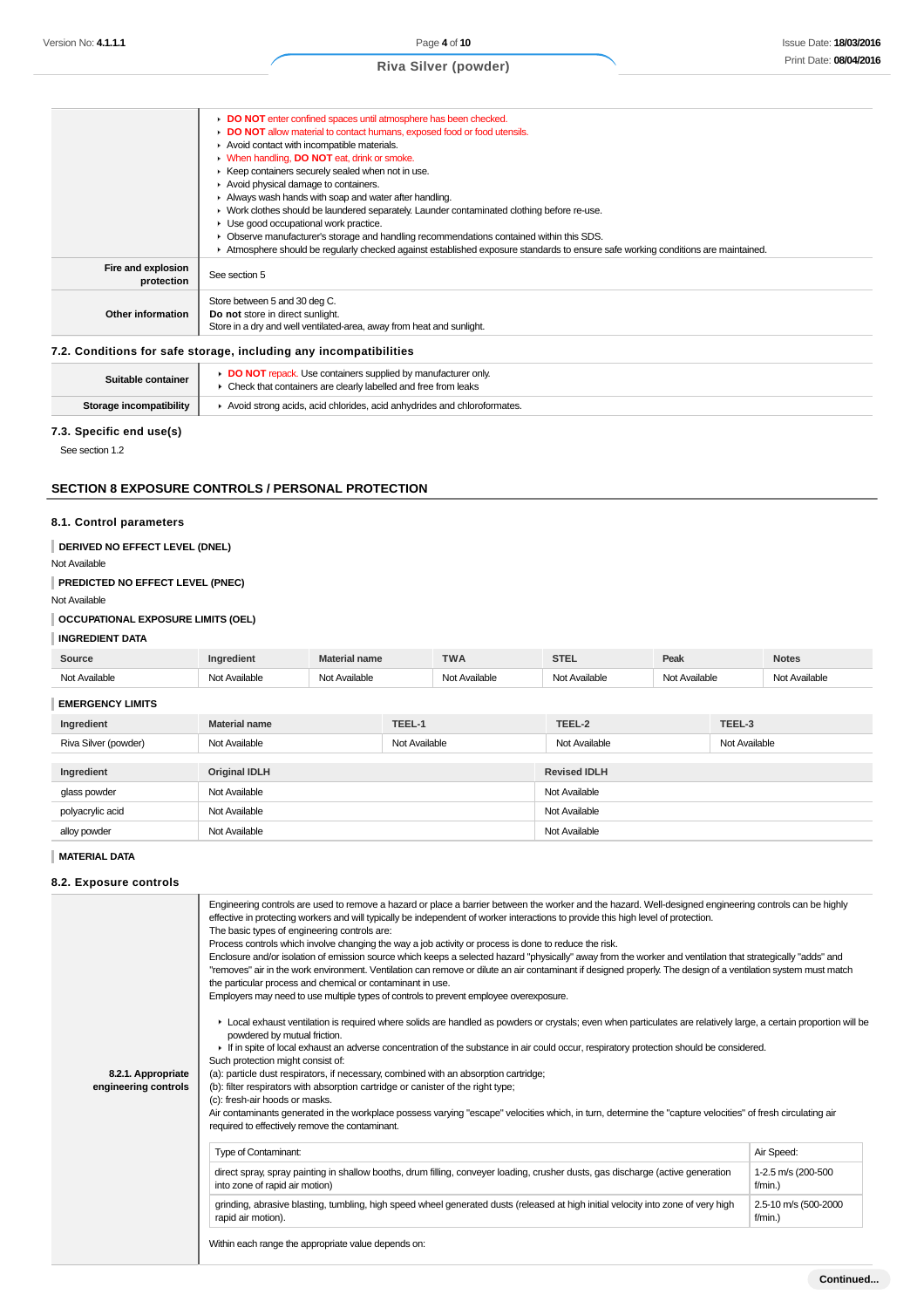#### **DO NOT** enter confined spaces until atmosphere has been checked. **DO NOT** allow material to contact humans, exposed food or food utensils. Avoid contact with incompatible materials. When handling, **DO NOT** eat, drink or smoke.  $\blacktriangleright$  Keep containers securely sealed when not in use. Avoid physical damage to containers. Always wash hands with soap and water after handling. Work clothes should be laundered separately. Launder contaminated clothing before re-use. Use good occupational work practice. Observe manufacturer's storage and handling recommendations contained within this SDS. Atmosphere should be regularly checked against established exposure standards to ensure safe working conditions are maintained. **Fire and explosion protection** See section 5 **Other information** Store between 5 and 30 deg C. **Do not** store in direct sunlight. Store in a dry and well ventilated-area, away from heat and sunlight.

### **7.2. Conditions for safe storage, including any incompatibilities**

| Suitable container      | <b>DO NOT</b> repack. Use containers supplied by manufacturer only<br>Check that containers are clearly labelled and free from leaks |
|-------------------------|--------------------------------------------------------------------------------------------------------------------------------------|
| Storage incompatibility | Avoid strong acids, acid chlorides, acid anhydrides and chloroformates.                                                              |

#### **7.3. Specific end use(s)**

See section 1.2

### **SECTION 8 EXPOSURE CONTROLS / PERSONAL PROTECTION**

#### **8.1. Control parameters**

**DERIVED NO EFFECT LEVEL (DNEL)**

## Not Available

**PREDICTED NO EFFECT LEVEL (PNEC)**

Not Available

### **OCCUPATIONAL EXPOSURE LIMITS (OEL)**

### **INGREDIENT DATA**

| Source             | nem | ial name        | <b>TWA</b>        | STF<br>21 E.L    | Peak                       | <b>Notes</b> |
|--------------------|-----|-----------------|-------------------|------------------|----------------------------|--------------|
| أطمانوس<br>$N - 1$ |     | $-1$<br>ıilable | ∿vailable<br>$-1$ | اططانص<br>$\sim$ | $N_{\alpha+}$<br>Available | Available    |

#### **EMERGENCY LIMITS**

| Ingredient           | <b>Material name</b> | TEEL-1        | TEEL-2              | TEEL-3        |  |
|----------------------|----------------------|---------------|---------------------|---------------|--|
| Riva Silver (powder) | Not Available        | Not Available | Not Available       | Not Available |  |
|                      |                      |               |                     |               |  |
| Ingredient           | <b>Original IDLH</b> |               | <b>Revised IDLH</b> |               |  |
| glass powder         | Not Available        |               | Not Available       |               |  |
| polyacrylic acid     | Not Available        |               | Not Available       |               |  |
| alloy powder         | Not Available        |               | Not Available       |               |  |

#### **MATERIAL DATA**

### **8.2. Exposure controls**

|                      | Engineering controls are used to remove a hazard or place a barrier between the worker and the hazard. Well-designed engineering controls can be highly<br>effective in protecting workers and will typically be independent of worker interactions to provide this high level of protection.<br>The basic types of engineering controls are:<br>Process controls which involve changing the way a job activity or process is done to reduce the risk.<br>Enclosure and/or isolation of emission source which keeps a selected hazard "physically" away from the worker and ventilation that strategically "adds" and<br>"removes" air in the work environment. Ventilation can remove or dilute an air contaminant if designed properly. The design of a ventilation system must match<br>the particular process and chemical or contaminant in use.<br>Employers may need to use multiple types of controls to prevent employee overexposure. |                                  |  |  |
|----------------------|-------------------------------------------------------------------------------------------------------------------------------------------------------------------------------------------------------------------------------------------------------------------------------------------------------------------------------------------------------------------------------------------------------------------------------------------------------------------------------------------------------------------------------------------------------------------------------------------------------------------------------------------------------------------------------------------------------------------------------------------------------------------------------------------------------------------------------------------------------------------------------------------------------------------------------------------------|----------------------------------|--|--|
|                      | ► Local exhaust ventilation is required where solids are handled as powders or crystals; even when particulates are relatively large, a certain proportion will be<br>powdered by mutual friction.<br>If in spite of local exhaust an adverse concentration of the substance in air could occur, respiratory protection should be considered.                                                                                                                                                                                                                                                                                                                                                                                                                                                                                                                                                                                                   |                                  |  |  |
|                      | Such protection might consist of:                                                                                                                                                                                                                                                                                                                                                                                                                                                                                                                                                                                                                                                                                                                                                                                                                                                                                                               |                                  |  |  |
| 8.2.1. Appropriate   | (a): particle dust respirators, if necessary, combined with an absorption cartridge;                                                                                                                                                                                                                                                                                                                                                                                                                                                                                                                                                                                                                                                                                                                                                                                                                                                            |                                  |  |  |
| engineering controls | (b): filter respirators with absorption cartridge or canister of the right type;                                                                                                                                                                                                                                                                                                                                                                                                                                                                                                                                                                                                                                                                                                                                                                                                                                                                |                                  |  |  |
|                      | (c): fresh-air hoods or masks.                                                                                                                                                                                                                                                                                                                                                                                                                                                                                                                                                                                                                                                                                                                                                                                                                                                                                                                  |                                  |  |  |
|                      |                                                                                                                                                                                                                                                                                                                                                                                                                                                                                                                                                                                                                                                                                                                                                                                                                                                                                                                                                 |                                  |  |  |
|                      | Air contaminants generated in the workplace possess varying "escape" velocities which, in turn, determine the "capture velocities" of fresh circulating air<br>required to effectively remove the contaminant.                                                                                                                                                                                                                                                                                                                                                                                                                                                                                                                                                                                                                                                                                                                                  |                                  |  |  |
|                      | <b>Type of Contaminant:</b>                                                                                                                                                                                                                                                                                                                                                                                                                                                                                                                                                                                                                                                                                                                                                                                                                                                                                                                     | Air Speed:                       |  |  |
|                      | direct spray, spray painting in shallow booths, drum filling, conveyer loading, crusher dusts, gas discharge (active generation<br>into zone of rapid air motion)                                                                                                                                                                                                                                                                                                                                                                                                                                                                                                                                                                                                                                                                                                                                                                               | 1-2.5 m/s (200-500<br>$f/min.$ ) |  |  |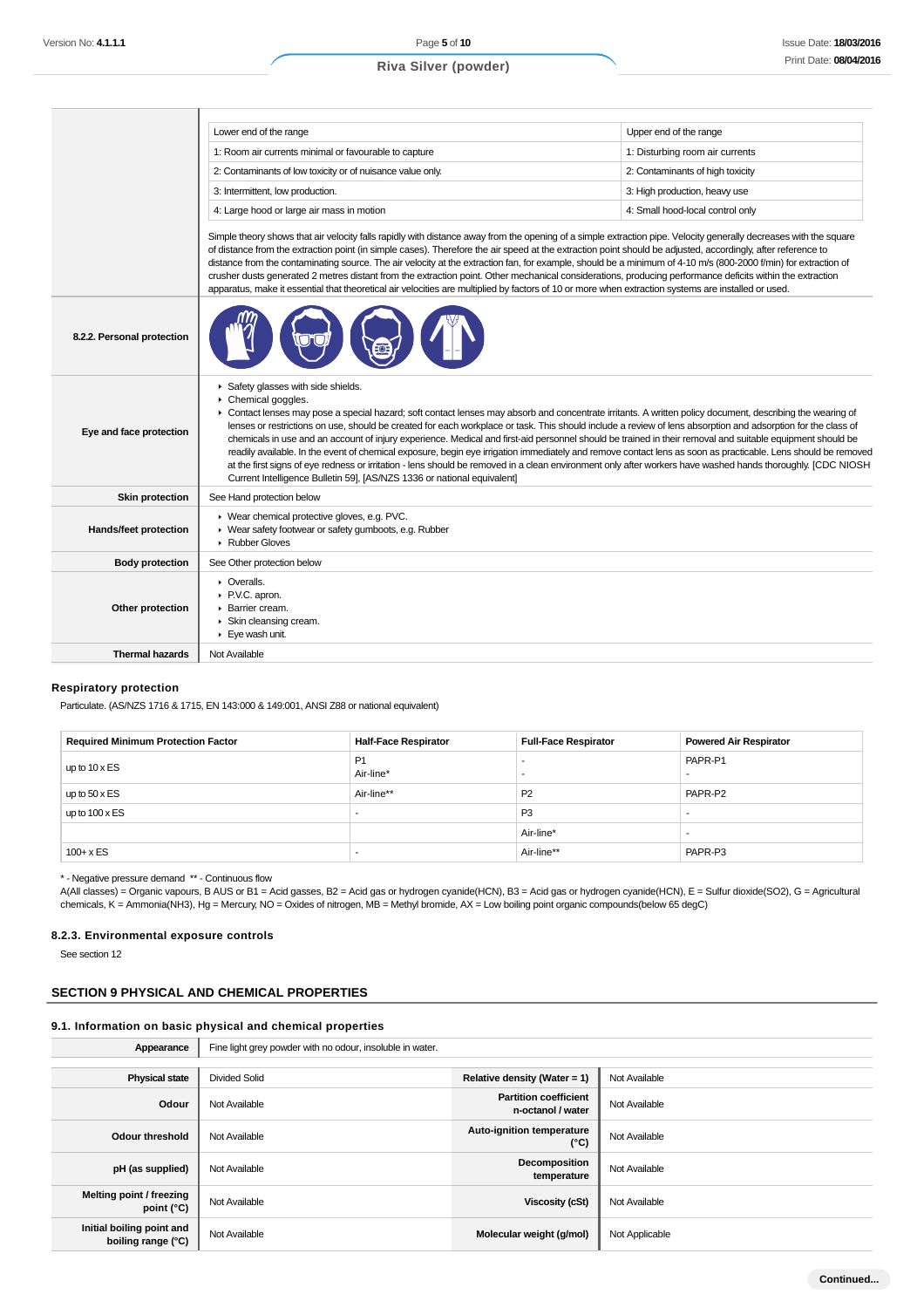|                            | Lower end of the range                                                                                                                                                                                                                                                                                                                                                                                                                                                                                                                                                                                                                                                                                                                                                                                                                                                                                                                                                        | Upper end of the range           |  |  |
|----------------------------|-------------------------------------------------------------------------------------------------------------------------------------------------------------------------------------------------------------------------------------------------------------------------------------------------------------------------------------------------------------------------------------------------------------------------------------------------------------------------------------------------------------------------------------------------------------------------------------------------------------------------------------------------------------------------------------------------------------------------------------------------------------------------------------------------------------------------------------------------------------------------------------------------------------------------------------------------------------------------------|----------------------------------|--|--|
|                            | 1: Room air currents minimal or favourable to capture                                                                                                                                                                                                                                                                                                                                                                                                                                                                                                                                                                                                                                                                                                                                                                                                                                                                                                                         | 1: Disturbing room air currents  |  |  |
|                            | 2: Contaminants of low toxicity or of nuisance value only.                                                                                                                                                                                                                                                                                                                                                                                                                                                                                                                                                                                                                                                                                                                                                                                                                                                                                                                    | 2: Contaminants of high toxicity |  |  |
|                            | 3: Intermittent, low production.<br>3: High production, heavy use                                                                                                                                                                                                                                                                                                                                                                                                                                                                                                                                                                                                                                                                                                                                                                                                                                                                                                             |                                  |  |  |
|                            | 4: Large hood or large air mass in motion<br>4: Small hood-local control only                                                                                                                                                                                                                                                                                                                                                                                                                                                                                                                                                                                                                                                                                                                                                                                                                                                                                                 |                                  |  |  |
|                            | Simple theory shows that air velocity falls rapidly with distance away from the opening of a simple extraction pipe. Velocity generally decreases with the square<br>of distance from the extraction point (in simple cases). Therefore the air speed at the extraction point should be adjusted, accordingly, after reference to<br>distance from the contaminating source. The air velocity at the extraction fan, for example, should be a minimum of 4-10 m/s (800-2000 f/min) for extraction of<br>crusher dusts generated 2 metres distant from the extraction point. Other mechanical considerations, producing performance deficits within the extraction<br>apparatus, make it essential that theoretical air velocities are multiplied by factors of 10 or more when extraction systems are installed or used.                                                                                                                                                      |                                  |  |  |
| 8.2.2. Personal protection |                                                                                                                                                                                                                                                                                                                                                                                                                                                                                                                                                                                                                                                                                                                                                                                                                                                                                                                                                                               |                                  |  |  |
| Eye and face protection    | Safety glasses with side shields.<br>$\triangleright$ Chemical goggles.<br>• Contact lenses may pose a special hazard; soft contact lenses may absorb and concentrate irritants. A written policy document, describing the wearing of<br>lenses or restrictions on use, should be created for each workplace or task. This should include a review of lens absorption and adsorption for the class of<br>chemicals in use and an account of injury experience. Medical and first-aid personnel should be trained in their removal and suitable equipment should be<br>readily available. In the event of chemical exposure, begin eye irrigation immediately and remove contact lens as soon as practicable. Lens should be removed<br>at the first signs of eye redness or irritation - lens should be removed in a clean environment only after workers have washed hands thoroughly. [CDC NIOSH<br>Current Intelligence Bulletin 59], [AS/NZS 1336 or national equivalent] |                                  |  |  |
| <b>Skin protection</b>     | See Hand protection below                                                                                                                                                                                                                                                                                                                                                                                                                                                                                                                                                                                                                                                                                                                                                                                                                                                                                                                                                     |                                  |  |  |
| Hands/feet protection      | ▶ Wear chemical protective gloves, e.g. PVC.<br>▶ Wear safety footwear or safety gumboots, e.g. Rubber<br>Rubber Gloves                                                                                                                                                                                                                                                                                                                                                                                                                                                                                                                                                                                                                                                                                                                                                                                                                                                       |                                  |  |  |
| <b>Body protection</b>     | See Other protection below                                                                                                                                                                                                                                                                                                                                                                                                                                                                                                                                                                                                                                                                                                                                                                                                                                                                                                                                                    |                                  |  |  |
| Other protection           | $\triangleright$ Overalls.<br>▶ P.V.C. apron.<br>▶ Barrier cream.<br>Skin cleansing cream.<br>Eye wash unit.                                                                                                                                                                                                                                                                                                                                                                                                                                                                                                                                                                                                                                                                                                                                                                                                                                                                  |                                  |  |  |
| <b>Thermal hazards</b>     | Not Available                                                                                                                                                                                                                                                                                                                                                                                                                                                                                                                                                                                                                                                                                                                                                                                                                                                                                                                                                                 |                                  |  |  |

#### **Respiratory protection**

Particulate. (AS/NZS 1716 & 1715, EN 143:000 & 149:001, ANSI Z88 or national equivalent)

| <b>Required Minimum Protection Factor</b> | <b>Half-Face Respirator</b> | <b>Full-Face Respirator</b> | <b>Powered Air Respirator</b> |
|-------------------------------------------|-----------------------------|-----------------------------|-------------------------------|
| up to $10 \times ES$                      | P <sub>1</sub><br>Air-line* | $\overline{\phantom{a}}$    | PAPR-P1                       |
| up to $50 \times ES$                      | Air-line**                  | P <sub>2</sub>              | PAPR-P2                       |
| up to $100 \times ES$                     |                             | P <sub>3</sub>              |                               |
|                                           |                             | Air-line*                   |                               |
| $100 + x ES$                              |                             | Air-line**                  | PAPR-P3                       |

\* - Negative pressure demand \*\* - Continuous flow

A(All classes) = Organic vapours, B AUS or B1 = Acid gasses, B2 = Acid gas or hydrogen cyanide(HCN), B3 = Acid gas or hydrogen cyanide(HCN), E = Sulfur dioxide(SO2), G = Agricultural chemicals, K = Ammonia(NH3), Hg = Mercury, NO = Oxides of nitrogen, MB = Methyl bromide, AX = Low boiling point organic compounds(below 65 degC)

#### **8.2.3. Environmental exposure controls**

See section 12

## **SECTION 9 PHYSICAL AND CHEMICAL PROPERTIES**

### **9.1. Information on basic physical and chemical properties**

| Appearance                                      | Fine light grey powder with no odour, insoluble in water. |                                                   |                |  |
|-------------------------------------------------|-----------------------------------------------------------|---------------------------------------------------|----------------|--|
|                                                 |                                                           |                                                   |                |  |
| <b>Physical state</b>                           | Divided Solid                                             | Relative density (Water = $1$ )                   | Not Available  |  |
| Odour                                           | Not Available                                             | <b>Partition coefficient</b><br>n-octanol / water | Not Available  |  |
| <b>Odour threshold</b>                          | Not Available                                             | Auto-ignition temperature<br>(°C)                 | Not Available  |  |
| pH (as supplied)                                | Not Available                                             | Decomposition<br>temperature                      | Not Available  |  |
| Melting point / freezing<br>point $(^{\circ}C)$ | Not Available                                             | Viscosity (cSt)                                   | Not Available  |  |
| Initial boiling point and<br>boiling range (°C) | Not Available                                             | Molecular weight (g/mol)                          | Not Applicable |  |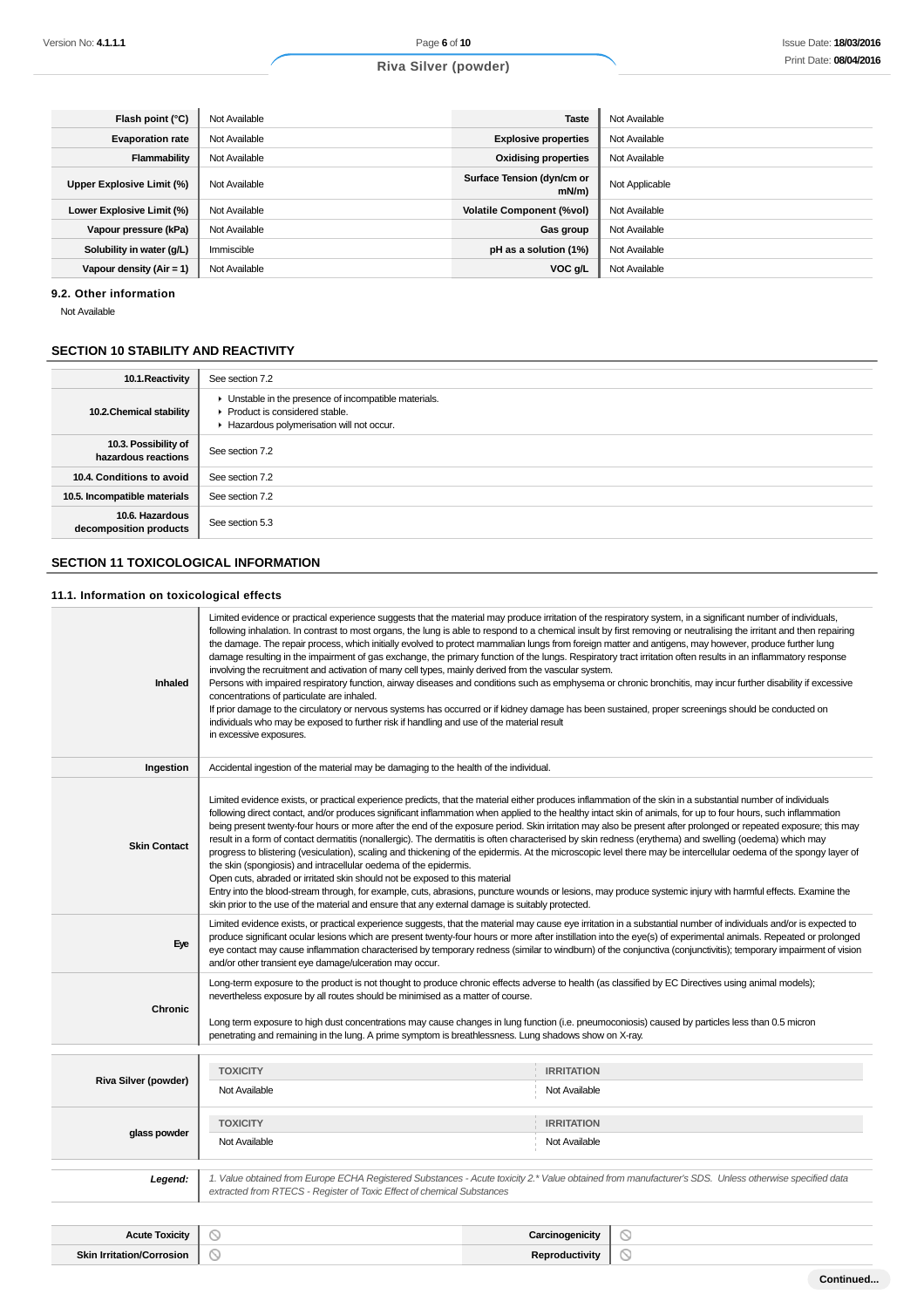| Flash point (°C)           | Not Available | <b>Taste</b>                           | Not Available  |
|----------------------------|---------------|----------------------------------------|----------------|
| <b>Evaporation rate</b>    | Not Available | <b>Explosive properties</b>            | Not Available  |
| Flammability               | Not Available | <b>Oxidising properties</b>            | Not Available  |
| Upper Explosive Limit (%)  | Not Available | Surface Tension (dyn/cm or<br>$mN/m$ ) | Not Applicable |
| Lower Explosive Limit (%)  | Not Available | <b>Volatile Component (%vol)</b>       | Not Available  |
| Vapour pressure (kPa)      | Not Available | Gas group                              | Not Available  |
| Solubility in water (g/L)  | Immiscible    | pH as a solution (1%)                  | Not Available  |
| Vapour density $(Air = 1)$ | Not Available | VOC g/L                                | Not Available  |

#### **9.2. Other information**

Not Available

## **SECTION 10 STABILITY AND REACTIVITY**

| 10.1. Reactivity                            | See section 7.2                                                                                                                    |
|---------------------------------------------|------------------------------------------------------------------------------------------------------------------------------------|
| 10.2. Chemical stability                    | Unstable in the presence of incompatible materials.<br>▶ Product is considered stable.<br>Hazardous polymerisation will not occur. |
| 10.3. Possibility of<br>hazardous reactions | See section 7.2                                                                                                                    |
| 10.4. Conditions to avoid                   | See section 7.2                                                                                                                    |
| 10.5. Incompatible materials                | See section 7.2                                                                                                                    |
| 10.6. Hazardous<br>decomposition products   | See section 5.3                                                                                                                    |

## **SECTION 11 TOXICOLOGICAL INFORMATION**

#### **11.1. Information on toxicological effects**

| Inhaled                          | Limited evidence or practical experience suggests that the material may produce irritation of the respiratory system, in a significant number of individuals,<br>following inhalation. In contrast to most organs, the lung is able to respond to a chemical insult by first removing or neutralising the irritant and then repairing<br>the damage. The repair process, which initially evolved to protect mammalian lungs from foreign matter and antigens, may however, produce further lung<br>damage resulting in the impairment of gas exchange, the primary function of the lungs. Respiratory tract irritation often results in an inflammatory response<br>involving the recruitment and activation of many cell types, mainly derived from the vascular system.<br>Persons with impaired respiratory function, airway diseases and conditions such as emphysema or chronic bronchitis, may incur further disability if excessive<br>concentrations of particulate are inhaled.<br>If prior damage to the circulatory or nervous systems has occurred or if kidney damage has been sustained, proper screenings should be conducted on<br>individuals who may be exposed to further risk if handling and use of the material result<br>in excessive exposures. |                                    |   |  |  |
|----------------------------------|-------------------------------------------------------------------------------------------------------------------------------------------------------------------------------------------------------------------------------------------------------------------------------------------------------------------------------------------------------------------------------------------------------------------------------------------------------------------------------------------------------------------------------------------------------------------------------------------------------------------------------------------------------------------------------------------------------------------------------------------------------------------------------------------------------------------------------------------------------------------------------------------------------------------------------------------------------------------------------------------------------------------------------------------------------------------------------------------------------------------------------------------------------------------------------------------------------------------------------------------------------------------------|------------------------------------|---|--|--|
| Ingestion                        | Accidental ingestion of the material may be damaging to the health of the individual.                                                                                                                                                                                                                                                                                                                                                                                                                                                                                                                                                                                                                                                                                                                                                                                                                                                                                                                                                                                                                                                                                                                                                                                   |                                    |   |  |  |
| <b>Skin Contact</b>              | Limited evidence exists, or practical experience predicts, that the material either produces inflammation of the skin in a substantial number of individuals<br>following direct contact, and/or produces significant inflammation when applied to the healthy intact skin of animals, for up to four hours, such inflammation<br>being present twenty-four hours or more after the end of the exposure period. Skin irritation may also be present after prolonged or repeated exposure; this may<br>result in a form of contact dermatitis (nonallergic). The dermatitis is often characterised by skin redness (erythema) and swelling (oedema) which may<br>progress to blistering (vesiculation), scaling and thickening of the epidermis. At the microscopic level there may be intercellular oedema of the spongy layer of<br>the skin (spongiosis) and intracellular oedema of the epidermis.<br>Open cuts, abraded or irritated skin should not be exposed to this material<br>Entry into the blood-stream through, for example, cuts, abrasions, puncture wounds or lesions, may produce systemic injury with harmful effects. Examine the<br>skin prior to the use of the material and ensure that any external damage is suitably protected.                |                                    |   |  |  |
| Eye                              | Limited evidence exists, or practical experience suggests, that the material may cause eye irritation in a substantial number of individuals and/or is expected to<br>produce significant ocular lesions which are present twenty-four hours or more after instillation into the eye(s) of experimental animals. Repeated or prolonged<br>eye contact may cause inflammation characterised by temporary redness (similar to windburn) of the conjunctiva (conjunctivitis); temporary impairment of vision<br>and/or other transient eye damage/ulceration may occur.                                                                                                                                                                                                                                                                                                                                                                                                                                                                                                                                                                                                                                                                                                    |                                    |   |  |  |
| Chronic                          | Long-term exposure to the product is not thought to produce chronic effects adverse to health (as classified by EC Directives using animal models);<br>nevertheless exposure by all routes should be minimised as a matter of course.<br>Long term exposure to high dust concentrations may cause changes in lung function (i.e. pneumoconiosis) caused by particles less than 0.5 micron<br>penetrating and remaining in the lung. A prime symptom is breathlessness. Lung shadows show on X-ray.                                                                                                                                                                                                                                                                                                                                                                                                                                                                                                                                                                                                                                                                                                                                                                      |                                    |   |  |  |
|                                  | <b>TOXICITY</b>                                                                                                                                                                                                                                                                                                                                                                                                                                                                                                                                                                                                                                                                                                                                                                                                                                                                                                                                                                                                                                                                                                                                                                                                                                                         | <b>IRRITATION</b>                  |   |  |  |
| Riva Silver (powder)             | Not Available                                                                                                                                                                                                                                                                                                                                                                                                                                                                                                                                                                                                                                                                                                                                                                                                                                                                                                                                                                                                                                                                                                                                                                                                                                                           | Not Available                      |   |  |  |
| glass powder                     | <b>TOXICITY</b><br>Not Available                                                                                                                                                                                                                                                                                                                                                                                                                                                                                                                                                                                                                                                                                                                                                                                                                                                                                                                                                                                                                                                                                                                                                                                                                                        | <b>IRRITATION</b><br>Not Available |   |  |  |
| Legend:                          | 1. Value obtained from Europe ECHA Registered Substances - Acute toxicity 2.* Value obtained from manufacturer's SDS. Unless otherwise specified data<br>extracted from RTECS - Register of Toxic Effect of chemical Substances                                                                                                                                                                                                                                                                                                                                                                                                                                                                                                                                                                                                                                                                                                                                                                                                                                                                                                                                                                                                                                         |                                    |   |  |  |
| <b>Acute Toxicity</b>            | ₪                                                                                                                                                                                                                                                                                                                                                                                                                                                                                                                                                                                                                                                                                                                                                                                                                                                                                                                                                                                                                                                                                                                                                                                                                                                                       | Carcinogenicity                    | ◎ |  |  |
| <b>Skin Irritation/Corrosion</b> | ⊚                                                                                                                                                                                                                                                                                                                                                                                                                                                                                                                                                                                                                                                                                                                                                                                                                                                                                                                                                                                                                                                                                                                                                                                                                                                                       | Reproductivity                     | ⊚ |  |  |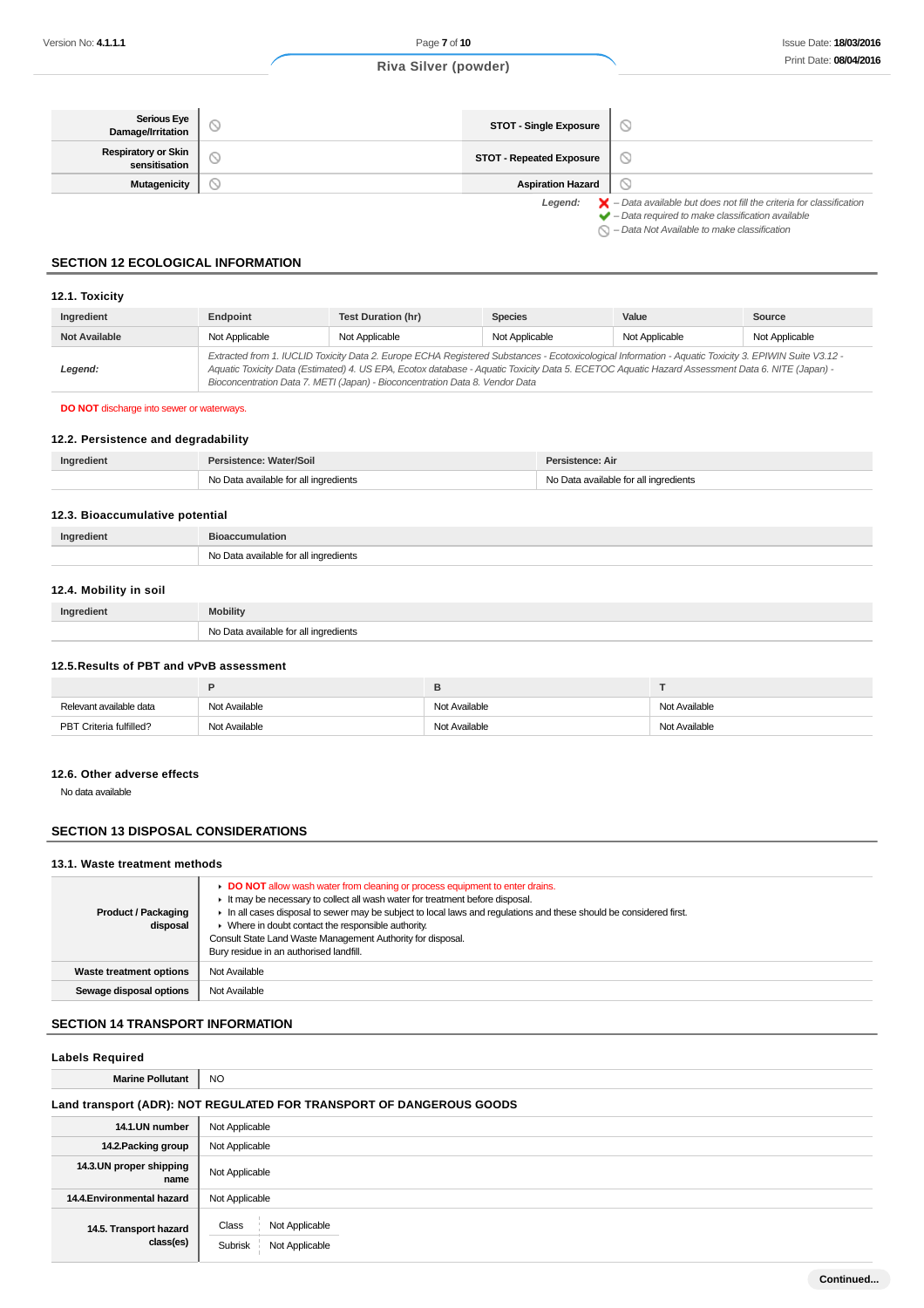| Serious Eye<br>Damage/Irritation            | <b>STOT - Single Exposure</b>   | $\circlearrowright$                                                                                                                                                |
|---------------------------------------------|---------------------------------|--------------------------------------------------------------------------------------------------------------------------------------------------------------------|
| <b>Respiratory or Skin</b><br>sensitisation | <b>STOT - Repeated Exposure</b> | $\circ$                                                                                                                                                            |
| <b>Mutagenicity</b>                         | <b>Aspiration Hazard</b>        | $\circ$                                                                                                                                                            |
|                                             | Legend:                         | $\blacktriangleright$ - Data available but does not fill the criteria for classification<br>$\blacktriangleright$ - Data required to make classification available |

 $\bigcirc$  – Data Not Available to make classification

## **SECTION 12 ECOLOGICAL INFORMATION**

### **12.1. Toxicity**

| Ingredient           | Endpoint       | <b>Test Duration (hr)</b>                                                                                                                                                                                                                                                                                                                                                                | <b>Species</b> | Value          | Source         |
|----------------------|----------------|------------------------------------------------------------------------------------------------------------------------------------------------------------------------------------------------------------------------------------------------------------------------------------------------------------------------------------------------------------------------------------------|----------------|----------------|----------------|
| <b>Not Available</b> | Not Applicable | Not Applicable                                                                                                                                                                                                                                                                                                                                                                           | Not Applicable | Not Applicable | Not Applicable |
| Legend:              |                | Extracted from 1. IUCLID Toxicity Data 2. Europe ECHA Registered Substances - Ecotoxicological Information - Aquatic Toxicity 3. EPIWIN Suite V3.12 -<br>Aquatic Toxicity Data (Estimated) 4. US EPA, Ecotox database - Aquatic Toxicity Data 5. ECETOC Aquatic Hazard Assessment Data 6. NITE (Japan) -<br>Bioconcentration Data 7. METI (Japan) - Bioconcentration Data 8. Vendor Data |                |                |                |

**DO NOT** discharge into sewer or waterways.

#### **12.2. Persistence and degradability**

| Ingredient | Persistence: Water/Soil               | Persistence: Air                      |  |
|------------|---------------------------------------|---------------------------------------|--|
|            | No Data available for all ingredients | No Data available for all ingredients |  |

#### **12.3. Bioaccumulative potential**

| Ingredient | <b>Bioaccumulation</b>                     |
|------------|--------------------------------------------|
| - NIO      | ta available for all ingredients<br>$\sim$ |

### **12.4. Mobility in soil**

| Ingredient | <b>Mobility</b>                                   |
|------------|---------------------------------------------------|
|            | Data available for all ingredients<br>.<br>$\sim$ |

#### **12.5.Results of PBT and vPvB assessment**

| Relevant available data | Not Available | Not Available | Not Available |
|-------------------------|---------------|---------------|---------------|
| PBT Criteria fulfilled? | Not Available | Not Available | Not Available |

### **12.6. Other adverse effects**

No data available

### **SECTION 13 DISPOSAL CONSIDERATIONS**

#### **13.1. Waste treatment methods**

| <b>Product / Packaging</b><br>disposal | DO NOT allow wash water from cleaning or process equipment to enter drains.<br>It may be necessary to collect all wash water for treatment before disposal.<br>In all cases disposal to sewer may be subject to local laws and requlations and these should be considered first.<br>$\triangleright$ Where in doubt contact the responsible authority.<br>Consult State Land Waste Management Authority for disposal.<br>Bury residue in an authorised landfill. |
|----------------------------------------|------------------------------------------------------------------------------------------------------------------------------------------------------------------------------------------------------------------------------------------------------------------------------------------------------------------------------------------------------------------------------------------------------------------------------------------------------------------|
| Waste treatment options                | Not Available                                                                                                                                                                                                                                                                                                                                                                                                                                                    |
| Sewage disposal options                | Not Available                                                                                                                                                                                                                                                                                                                                                                                                                                                    |

#### **SECTION 14 TRANSPORT INFORMATION**

#### **Labels Required**

**Marine Pollutant** NO

## **Land transport (ADR): NOT REGULATED FOR TRANSPORT OF DANGEROUS GOODS**

| 14.1.UN number                      | Not Applicable                                       |
|-------------------------------------|------------------------------------------------------|
| 14.2. Packing group                 | Not Applicable                                       |
| 14.3.UN proper shipping<br>name     | Not Applicable                                       |
| 14.4. Environmental hazard          | Not Applicable                                       |
| 14.5. Transport hazard<br>class(es) | Not Applicable<br>Class<br>Not Applicable<br>Subrisk |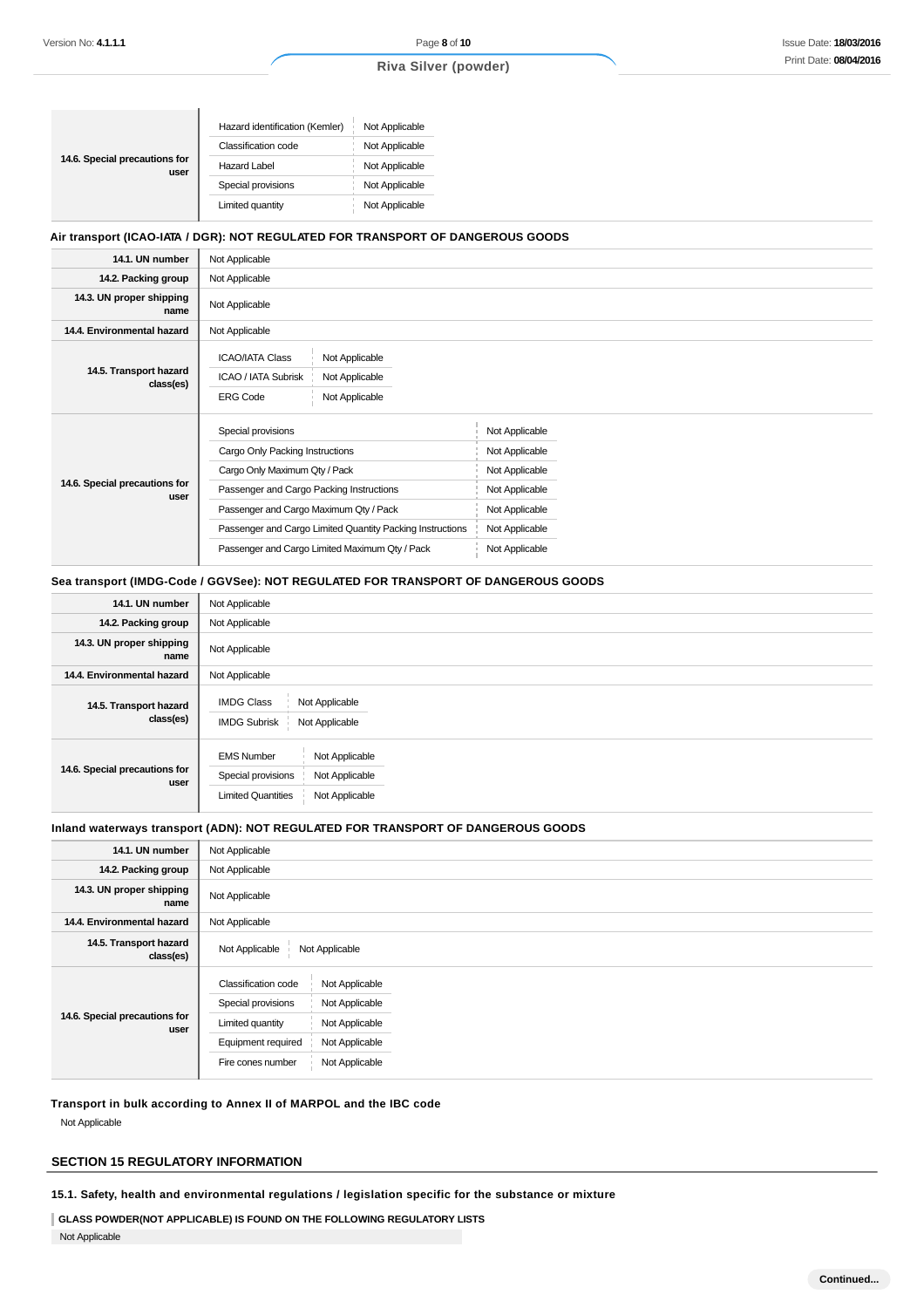ń

## **Riva Silver (powder)**

| Hazard identification (Kemler) | Not Applicable |
|--------------------------------|----------------|
| Classification code            | Not Applicable |
| <b>Hazard Label</b>            | Not Applicable |
| Special provisions             | Not Applicable |
| Limited quantity               | Not Applicable |
|                                |                |

## **Air transport (ICAO-IATA / DGR): NOT REGULATED FOR TRANSPORT OF DANGEROUS GOODS**

| 14.1. UN number                       | Not Applicable                                                                                                                                                                                                                                                                              |                                                                                                                            |  |
|---------------------------------------|---------------------------------------------------------------------------------------------------------------------------------------------------------------------------------------------------------------------------------------------------------------------------------------------|----------------------------------------------------------------------------------------------------------------------------|--|
| 14.2. Packing group                   | Not Applicable                                                                                                                                                                                                                                                                              |                                                                                                                            |  |
| 14.3. UN proper shipping<br>name      | Not Applicable                                                                                                                                                                                                                                                                              |                                                                                                                            |  |
| 14.4. Environmental hazard            | Not Applicable                                                                                                                                                                                                                                                                              |                                                                                                                            |  |
| 14.5. Transport hazard<br>class(es)   | <b>ICAO/IATA Class</b><br>Not Applicable<br>ICAO / IATA Subrisk<br>Not Applicable<br>Not Applicable<br><b>ERG Code</b>                                                                                                                                                                      |                                                                                                                            |  |
| 14.6. Special precautions for<br>user | Special provisions<br>Cargo Only Packing Instructions<br>Cargo Only Maximum Qty / Pack<br>Passenger and Cargo Packing Instructions<br>Passenger and Cargo Maximum Qty / Pack<br>Passenger and Cargo Limited Quantity Packing Instructions<br>Passenger and Cargo Limited Maximum Qty / Pack | Not Applicable<br>Not Applicable<br>Not Applicable<br>Not Applicable<br>Not Applicable<br>Not Applicable<br>Not Applicable |  |

### **Sea transport (IMDG-Code / GGVSee): NOT REGULATED FOR TRANSPORT OF DANGEROUS GOODS**

| 14.1. UN number                       | Not Applicable                                                                                                             |
|---------------------------------------|----------------------------------------------------------------------------------------------------------------------------|
| 14.2. Packing group                   | Not Applicable                                                                                                             |
| 14.3. UN proper shipping<br>name      | Not Applicable                                                                                                             |
| 14.4. Environmental hazard            | Not Applicable                                                                                                             |
| 14.5. Transport hazard<br>class(es)   | <b>IMDG Class</b><br>Not Applicable<br><b>IMDG Subrisk</b><br>Not Applicable                                               |
| 14.6. Special precautions for<br>user | Not Applicable<br><b>EMS Number</b><br>Special provisions<br>Not Applicable<br><b>Limited Quantities</b><br>Not Applicable |

#### **Inland waterways transport (ADN): NOT REGULATED FOR TRANSPORT OF DANGEROUS GOODS**

| 14.1. UN number                       | Not Applicable                                                                                                                                                                                            |
|---------------------------------------|-----------------------------------------------------------------------------------------------------------------------------------------------------------------------------------------------------------|
| 14.2. Packing group                   | Not Applicable                                                                                                                                                                                            |
| 14.3. UN proper shipping<br>name      | Not Applicable                                                                                                                                                                                            |
| 14.4. Environmental hazard            | Not Applicable                                                                                                                                                                                            |
| 14.5. Transport hazard<br>class(es)   | Not Applicable<br>Not Applicable                                                                                                                                                                          |
| 14.6. Special precautions for<br>user | <b>Classification code</b><br>Not Applicable<br>Special provisions<br>Not Applicable<br>Limited quantity<br>Not Applicable<br>Equipment required<br>Not Applicable<br>Not Applicable<br>Fire cones number |

**Transport in bulk according to Annex II of MARPOL and the IBC code**

Not Applicable

## **SECTION 15 REGULATORY INFORMATION**

**15.1. Safety, health and environmental regulations / legislation specific for the substance or mixture**

**GLASS POWDER(NOT APPLICABLE) IS FOUND ON THE FOLLOWING REGULATORY LISTS**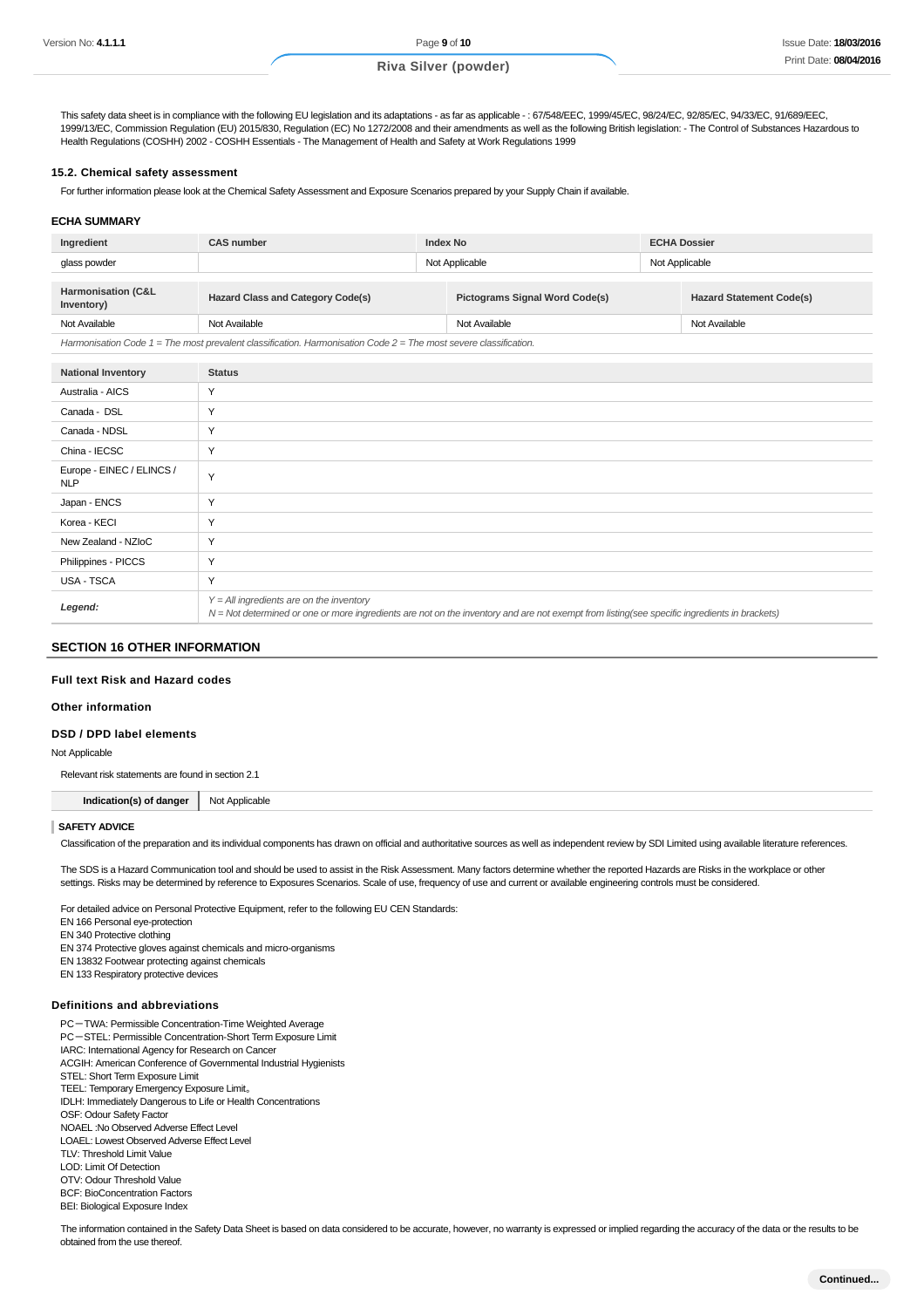This safety data sheet is in compliance with the following EU legislation and its adaptations - as far as applicable -: 67/548/EEC, 1999/45/EC, 98/24/EC, 92/85/EC, 94/33/EC, 91/689/EEC, 1999/13/EC, Commission Regulation (EU) 2015/830, Regulation (EC) No 1272/2008 and their amendments as well as the following British legislation: - The Control of Substances Hazardous to Health Regulations (COSHH) 2002 - COSHH Essentials - The Management of Health and Safety at Work Regulations 1999

#### **15.2. Chemical safety assessment**

For further information please look at the Chemical Safety Assessment and Exposure Scenarios prepared by your Supply Chain if available.

#### **ECHA SUMMARY**

| Ingredient                                                                                                           | <b>CAS number</b>                                                                 | Index No      |  | <b>ECHA Dossier</b>             |  |
|----------------------------------------------------------------------------------------------------------------------|-----------------------------------------------------------------------------------|---------------|--|---------------------------------|--|
| glass powder                                                                                                         | Not Applicable                                                                    |               |  | Not Applicable                  |  |
|                                                                                                                      |                                                                                   |               |  |                                 |  |
| <b>Harmonisation (C&amp;L</b><br>Inventory)                                                                          | <b>Hazard Class and Category Code(s)</b><br><b>Pictograms Signal Word Code(s)</b> |               |  | <b>Hazard Statement Code(s)</b> |  |
| Not Available                                                                                                        | Not Available                                                                     | Not Available |  | Not Available                   |  |
| Harmonisation Code $1 =$ The most prevalent classification. Harmonisation Code $2 =$ The most severe classification. |                                                                                   |               |  |                                 |  |

**National Inventory Status** Australia - AICS Y Canada - DSL Y Canada - NDSL Y China - IECSC Y Europe - EINEC / ELINCS / Y<br>NLP Japan - ENCS Y Korea - KECI Y New Zealand - NZIoC. Y Philippines - PICCS Y USA - TSCA Y **Legend:**  $Y = All$  ingredients are on the inventory N = Not determined or one or more ingredients are not on the inventory and are not exempt from listing(see specific ingredients in brackets)

#### **SECTION 16 OTHER INFORMATION**

#### **Full text Risk and Hazard codes**

#### **Other information**

#### **DSD / DPD label elements**

Not Applicable

Relevant risk statements are found in section 2.1

**Indication(s) of danger** Not Applicable

#### **SAFETY ADVICE**

Classification of the preparation and its individual components has drawn on official and authoritative sources as well as independent review by SDI Limited using available literature references.

The SDS is a Hazard Communication tool and should be used to assist in the Risk Assessment. Many factors determine whether the reported Hazards are Risks in the workplace or other settings. Risks may be determined by reference to Exposures Scenarios. Scale of use, frequency of use and current or available engineering controls must be considered.

For detailed advice on Personal Protective Equipment, refer to the following EU CEN Standards:

- EN 166 Personal eye-protection
- EN 340 Protective clothing
- EN 374 Protective gloves against chemicals and micro-organisms
- EN 13832 Footwear protecting against chemicals EN 133 Respiratory protective devices
- 

#### **Definitions and abbreviations**

PC-TWA: Permissible Concentration-Time Weighted Average PC-STEL: Permissible Concentration-Short Term Exposure Limit IARC: International Agency for Research on Cancer ACGIH: American Conference of Governmental Industrial Hygienists STEL: Short Term Exposure Limit TEEL: Temporary Emergency Exposure Limit。 IDLH: Immediately Dangerous to Life or Health Concentrations OSF: Odour Safety Factor NOAEL :No Observed Adverse Effect Level LOAEL: Lowest Observed Adverse Effect Level TLV: Threshold Limit Value LOD: Limit Of Detection OTV: Odour Threshold Value BCF: BioConcentration Factors BEI: Biological Exposure Index

The information contained in the Safety Data Sheet is based on data considered to be accurate, however, no warranty is expressed or implied regarding the accuracy of the data or the results to be obtained from the use thereof.